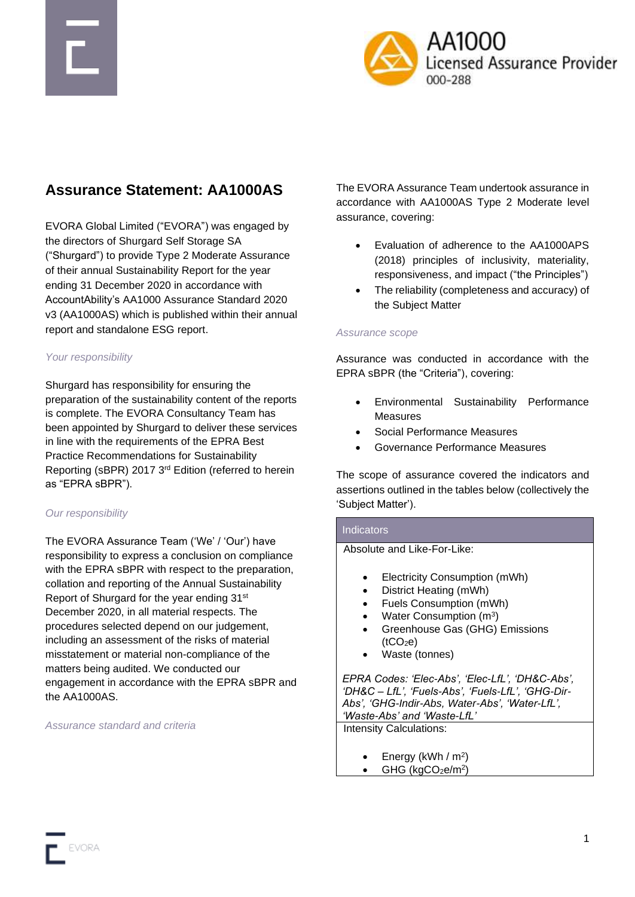



# **Assurance Statement: AA1000AS**

EVORA Global Limited ("EVORA") was engaged by the directors of Shurgard Self Storage SA ("Shurgard") to provide Type 2 Moderate Assurance of their annual Sustainability Report for the year ending 31 December 2020 in accordance with AccountAbility's AA1000 Assurance Standard 2020 v3 (AA1000AS) which is published within their annual report and standalone ESG report.

#### *Your responsibility*

Shurgard has responsibility for ensuring the preparation of the sustainability content of the reports is complete. The EVORA Consultancy Team has been appointed by Shurgard to deliver these services in line with the requirements of the EPRA Best Practice Recommendations for Sustainability Reporting (sBPR) 2017 3rd Edition (referred to herein as "EPRA sBPR").

#### *Our responsibility*

The EVORA Assurance Team ('We' / 'Our') have responsibility to express a conclusion on compliance with the EPRA sBPR with respect to the preparation, collation and reporting of the Annual Sustainability Report of Shurgard for the year ending 31st December 2020, in all material respects. The procedures selected depend on our judgement, including an assessment of the risks of material misstatement or material non-compliance of the matters being audited. We conducted our engagement in accordance with the EPRA sBPR and the AA1000AS.

#### *Assurance standard and criteria*

The EVORA Assurance Team undertook assurance in accordance with AA1000AS Type 2 Moderate level assurance, covering:

- Evaluation of adherence to the AA1000APS (2018) principles of inclusivity, materiality, responsiveness, and impact ("the Principles")
- The reliability (completeness and accuracy) of the Subject Matter

#### *Assurance scope*

Assurance was conducted in accordance with the EPRA sBPR (the "Criteria"), covering:

- Environmental Sustainability Performance Measures
- Social Performance Measures
- Governance Performance Measures

The scope of assurance covered the indicators and assertions outlined in the tables below (collectively the 'Subject Matter').

#### **Indicators**

Absolute and Like-For-Like:

- Electricity Consumption (mWh)
- District Heating (mWh)
- Fuels Consumption (mWh)
- Water Consumption (m<sup>3</sup>)
- Greenhouse Gas (GHG) Emissions  $(tCO<sub>2</sub>e)$
- Waste (tonnes)

*EPRA Codes: 'Elec-Abs', 'Elec-LfL', 'DH&C-Abs', 'DH&C – LfL', 'Fuels-Abs', 'Fuels-LfL', 'GHG-Dir-Abs', 'GHG-Indir-Abs, Water-Abs', 'Water-LfL', 'Waste-Abs' and 'Waste-LfL'*

Intensity Calculations:

- Energy (kWh /  $m^2$ )
- $\bullet$  GHG (kgCO<sub>2</sub>e/m<sup>2</sup>)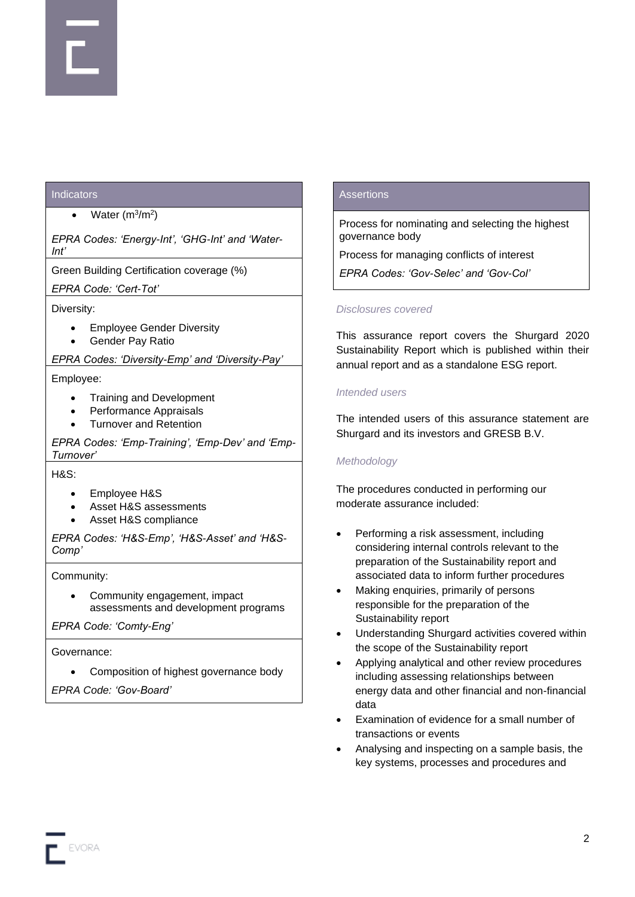### **Indicators**

#### • Water  $(m^3/m^2)$

*EPRA Codes: 'Energy-Int', 'GHG-Int' and 'Water-Int'*

Green Building Certification coverage (%)

*EPRA Code: 'Cert-Tot'*

### Diversity:

- Employee Gender Diversity
- Gender Pay Ratio

*EPRA Codes: 'Diversity-Emp' and 'Diversity-Pay'*

#### Employee:

- Training and Development
- Performance Appraisals
- Turnover and Retention

*EPRA Codes: 'Emp-Training', 'Emp-Dev' and 'Emp-Turnover'*

H&S:

- Employee H&S
- Asset H&S assessments
- Asset H&S compliance

*EPRA Codes: 'H&S-Emp', 'H&S-Asset' and 'H&S-Comp'*

#### Community:

• Community engagement, impact assessments and development programs

*EPRA Code: 'Comty-Eng'*

#### Governance:

• Composition of highest governance body

*EPRA Code: 'Gov-Board'*

### **Assertions**

Process for nominating and selecting the highest governance body

Process for managing conflicts of interest

*EPRA Codes: 'Gov-Selec' and 'Gov-Col'*

### *Disclosures covered*

This assurance report covers the Shurgard 2020 Sustainability Report which is published within their annual report and as a standalone ESG report.

### *Intended users*

The intended users of this assurance statement are Shurgard and its investors and GRESB B.V.

#### *Methodology*

The procedures conducted in performing our moderate assurance included:

- Performing a risk assessment, including considering internal controls relevant to the preparation of the Sustainability report and associated data to inform further procedures
- Making enquiries, primarily of persons responsible for the preparation of the Sustainability report
- Understanding Shurgard activities covered within the scope of the Sustainability report
- Applying analytical and other review procedures including assessing relationships between energy data and other financial and non-financial data
- Examination of evidence for a small number of transactions or events
- Analysing and inspecting on a sample basis, the key systems, processes and procedures and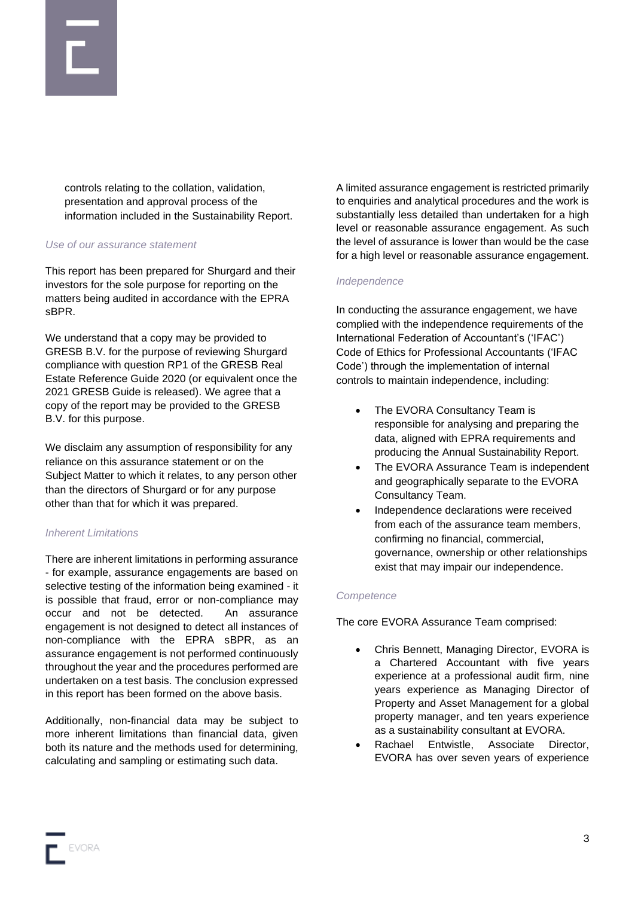

controls relating to the collation, validation, presentation and approval process of the information included in the Sustainability Report.

#### *Use of our assurance statement*

This report has been prepared for Shurgard and their investors for the sole purpose for reporting on the matters being audited in accordance with the EPRA sBPR.

We understand that a copy may be provided to GRESB B.V. for the purpose of reviewing Shurgard compliance with question RP1 of the GRESB Real Estate Reference Guide 2020 (or equivalent once the 2021 GRESB Guide is released). We agree that a copy of the report may be provided to the GRESB B.V. for this purpose.

We disclaim any assumption of responsibility for any reliance on this assurance statement or on the Subject Matter to which it relates, to any person other than the directors of Shurgard or for any purpose other than that for which it was prepared.

#### *Inherent Limitations*

There are inherent limitations in performing assurance - for example, assurance engagements are based on selective testing of the information being examined - it is possible that fraud, error or non-compliance may occur and not be detected. An assurance engagement is not designed to detect all instances of non-compliance with the EPRA sBPR, as an assurance engagement is not performed continuously throughout the year and the procedures performed are undertaken on a test basis. The conclusion expressed in this report has been formed on the above basis.

Additionally, non-financial data may be subject to more inherent limitations than financial data, given both its nature and the methods used for determining, calculating and sampling or estimating such data.

A limited assurance engagement is restricted primarily to enquiries and analytical procedures and the work is substantially less detailed than undertaken for a high level or reasonable assurance engagement. As such the level of assurance is lower than would be the case for a high level or reasonable assurance engagement.

#### *Independence*

In conducting the assurance engagement, we have complied with the independence requirements of the International Federation of Accountant's ('IFAC') Code of Ethics for Professional Accountants ('IFAC Code') through the implementation of internal controls to maintain independence, including:

- The EVORA Consultancy Team is responsible for analysing and preparing the data, aligned with EPRA requirements and producing the Annual Sustainability Report.
- The EVORA Assurance Team is independent and geographically separate to the EVORA Consultancy Team.
- Independence declarations were received from each of the assurance team members, confirming no financial, commercial, governance, ownership or other relationships exist that may impair our independence.

#### *Competence*

The core EVORA Assurance Team comprised:

- Chris Bennett, Managing Director, EVORA is a Chartered Accountant with five years experience at a professional audit firm, nine years experience as Managing Director of Property and Asset Management for a global property manager, and ten years experience as a sustainability consultant at EVORA.
- Rachael Entwistle, Associate Director, EVORA has over seven years of experience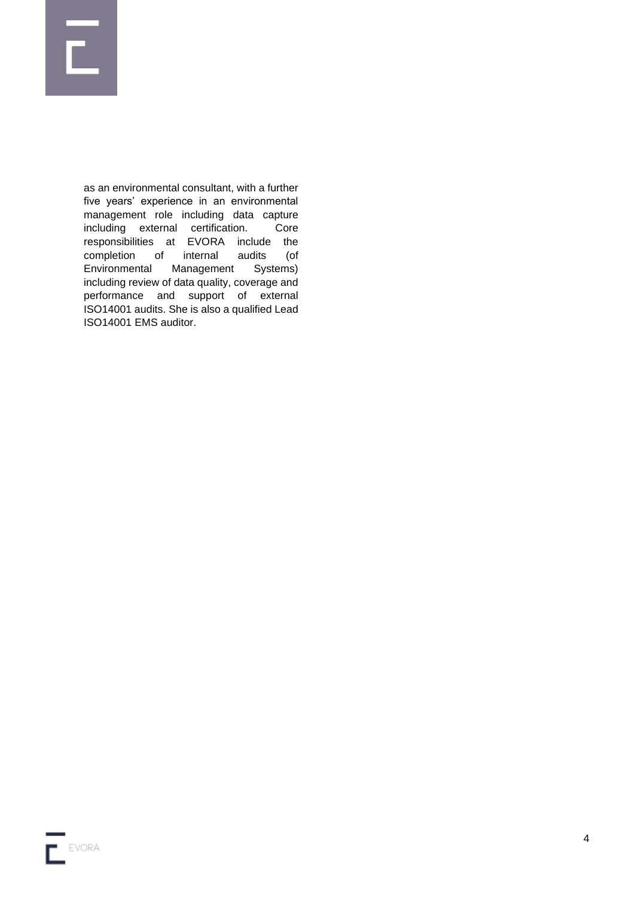

as an environmental consultant, with a further five years' experience in an environmental management role including data capture including external certification. Core responsibilities at EVORA include the completion of internal audits (of Environmental Management Systems) including review of data quality, coverage and performance and support of external ISO14001 audits. She is also a qualified Lead ISO14001 EMS auditor.

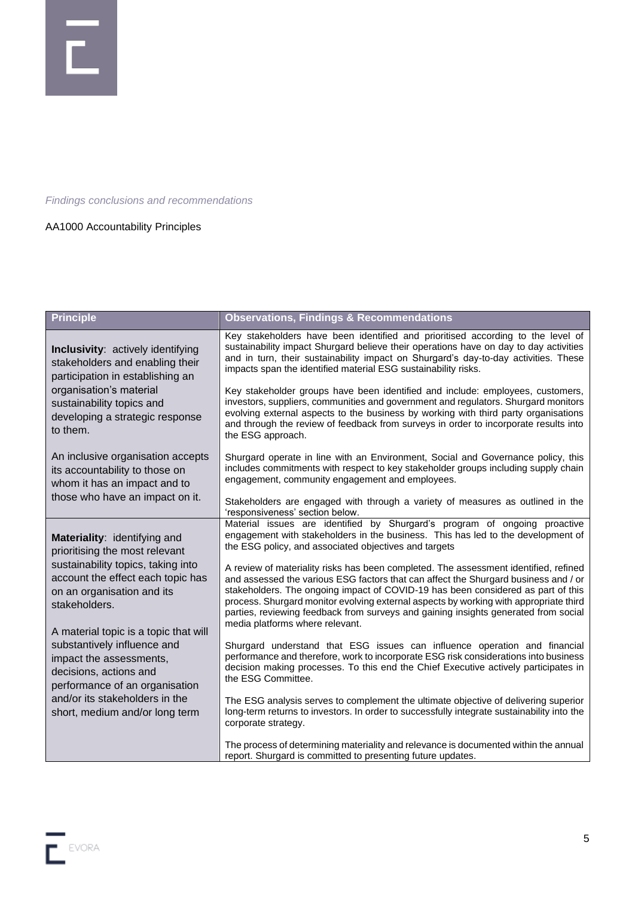

*Findings conclusions and recommendations*

## AA1000 Accountability Principles

| <b>Principle</b>                                                                                                                                                                                                | <b>Observations, Findings &amp; Recommendations</b>                                                                                                                                                                                                                                                                                                                                                                                             |
|-----------------------------------------------------------------------------------------------------------------------------------------------------------------------------------------------------------------|-------------------------------------------------------------------------------------------------------------------------------------------------------------------------------------------------------------------------------------------------------------------------------------------------------------------------------------------------------------------------------------------------------------------------------------------------|
| Inclusivity: actively identifying<br>stakeholders and enabling their<br>participation in establishing an<br>organisation's material<br>sustainability topics and<br>developing a strategic response<br>to them. | Key stakeholders have been identified and prioritised according to the level of<br>sustainability impact Shurgard believe their operations have on day to day activities<br>and in turn, their sustainability impact on Shurgard's day-to-day activities. These<br>impacts span the identified material ESG sustainability risks.                                                                                                               |
|                                                                                                                                                                                                                 | Key stakeholder groups have been identified and include: employees, customers,<br>investors, suppliers, communities and government and regulators. Shurgard monitors<br>evolving external aspects to the business by working with third party organisations<br>and through the review of feedback from surveys in order to incorporate results into<br>the ESG approach.                                                                        |
| An inclusive organisation accepts<br>its accountability to those on<br>whom it has an impact and to<br>those who have an impact on it.                                                                          | Shurgard operate in line with an Environment, Social and Governance policy, this<br>includes commitments with respect to key stakeholder groups including supply chain<br>engagement, community engagement and employees.                                                                                                                                                                                                                       |
|                                                                                                                                                                                                                 | Stakeholders are engaged with through a variety of measures as outlined in the<br>'responsiveness' section below.                                                                                                                                                                                                                                                                                                                               |
| Materiality: identifying and<br>prioritising the most relevant                                                                                                                                                  | Material issues are identified by Shurgard's program of ongoing proactive<br>engagement with stakeholders in the business. This has led to the development of<br>the ESG policy, and associated objectives and targets                                                                                                                                                                                                                          |
| sustainability topics, taking into<br>account the effect each topic has<br>on an organisation and its<br>stakeholders.                                                                                          | A review of materiality risks has been completed. The assessment identified, refined<br>and assessed the various ESG factors that can affect the Shurgard business and / or<br>stakeholders. The ongoing impact of COVID-19 has been considered as part of this<br>process. Shurgard monitor evolving external aspects by working with appropriate third<br>parties, reviewing feedback from surveys and gaining insights generated from social |
| A material topic is a topic that will<br>substantively influence and<br>impact the assessments,<br>decisions, actions and<br>performance of an organisation                                                     | media platforms where relevant.                                                                                                                                                                                                                                                                                                                                                                                                                 |
|                                                                                                                                                                                                                 | Shurgard understand that ESG issues can influence operation and financial<br>performance and therefore, work to incorporate ESG risk considerations into business<br>decision making processes. To this end the Chief Executive actively participates in<br>the ESG Committee.                                                                                                                                                                  |
| and/or its stakeholders in the<br>short, medium and/or long term                                                                                                                                                | The ESG analysis serves to complement the ultimate objective of delivering superior<br>long-term returns to investors. In order to successfully integrate sustainability into the<br>corporate strategy.                                                                                                                                                                                                                                        |
|                                                                                                                                                                                                                 | The process of determining materiality and relevance is documented within the annual<br>report. Shurgard is committed to presenting future updates.                                                                                                                                                                                                                                                                                             |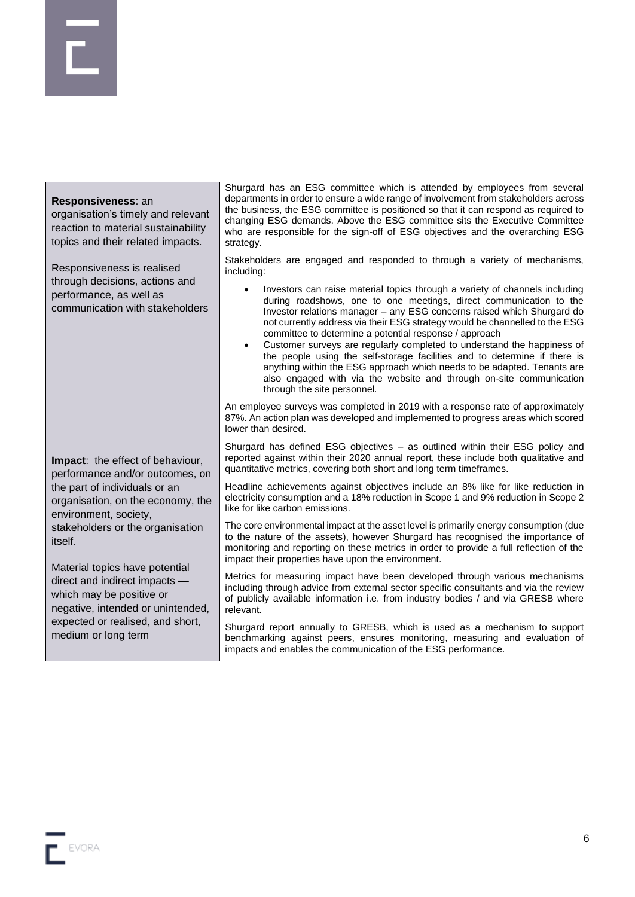| Responsiveness: an<br>organisation's timely and relevant<br>reaction to material sustainability<br>topics and their related impacts.       | Shurgard has an ESG committee which is attended by employees from several<br>departments in order to ensure a wide range of involvement from stakeholders across<br>the business, the ESG committee is positioned so that it can respond as required to<br>changing ESG demands. Above the ESG committee sits the Executive Committee<br>who are responsible for the sign-off of ESG objectives and the overarching ESG<br>strategy.                                                                                                                                                                                                                                                                                                                                                                                                                                                                                                                                                                       |
|--------------------------------------------------------------------------------------------------------------------------------------------|------------------------------------------------------------------------------------------------------------------------------------------------------------------------------------------------------------------------------------------------------------------------------------------------------------------------------------------------------------------------------------------------------------------------------------------------------------------------------------------------------------------------------------------------------------------------------------------------------------------------------------------------------------------------------------------------------------------------------------------------------------------------------------------------------------------------------------------------------------------------------------------------------------------------------------------------------------------------------------------------------------|
| Responsiveness is realised<br>through decisions, actions and<br>performance, as well as<br>communication with stakeholders                 | Stakeholders are engaged and responded to through a variety of mechanisms,<br>including:<br>Investors can raise material topics through a variety of channels including<br>$\bullet$<br>during roadshows, one to one meetings, direct communication to the<br>Investor relations manager - any ESG concerns raised which Shurgard do<br>not currently address via their ESG strategy would be channelled to the ESG<br>committee to determine a potential response / approach<br>Customer surveys are regularly completed to understand the happiness of<br>$\bullet$<br>the people using the self-storage facilities and to determine if there is<br>anything within the ESG approach which needs to be adapted. Tenants are<br>also engaged with via the website and through on-site communication<br>through the site personnel.<br>An employee surveys was completed in 2019 with a response rate of approximately<br>87%. An action plan was developed and implemented to progress areas which scored |
| Impact: the effect of behaviour,                                                                                                           | lower than desired.<br>Shurgard has defined ESG objectives - as outlined within their ESG policy and<br>reported against within their 2020 annual report, these include both qualitative and                                                                                                                                                                                                                                                                                                                                                                                                                                                                                                                                                                                                                                                                                                                                                                                                               |
| performance and/or outcomes, on                                                                                                            | quantitative metrics, covering both short and long term timeframes.                                                                                                                                                                                                                                                                                                                                                                                                                                                                                                                                                                                                                                                                                                                                                                                                                                                                                                                                        |
| the part of individuals or an<br>organisation, on the economy, the<br>environment, society,<br>stakeholders or the organisation<br>itself. | Headline achievements against objectives include an 8% like for like reduction in<br>electricity consumption and a 18% reduction in Scope 1 and 9% reduction in Scope 2<br>like for like carbon emissions.                                                                                                                                                                                                                                                                                                                                                                                                                                                                                                                                                                                                                                                                                                                                                                                                 |
|                                                                                                                                            | The core environmental impact at the asset level is primarily energy consumption (due<br>to the nature of the assets), however Shurgard has recognised the importance of<br>monitoring and reporting on these metrics in order to provide a full reflection of the<br>impact their properties have upon the environment.                                                                                                                                                                                                                                                                                                                                                                                                                                                                                                                                                                                                                                                                                   |
| Material topics have potential<br>direct and indirect impacts -<br>which may be positive or<br>negative, intended or unintended,           | Metrics for measuring impact have been developed through various mechanisms<br>including through advice from external sector specific consultants and via the review<br>of publicly available information i.e. from industry bodies / and via GRESB where<br>relevant.                                                                                                                                                                                                                                                                                                                                                                                                                                                                                                                                                                                                                                                                                                                                     |
| expected or realised, and short,<br>medium or long term                                                                                    | Shurgard report annually to GRESB, which is used as a mechanism to support<br>benchmarking against peers, ensures monitoring, measuring and evaluation of<br>impacts and enables the communication of the ESG performance.                                                                                                                                                                                                                                                                                                                                                                                                                                                                                                                                                                                                                                                                                                                                                                                 |